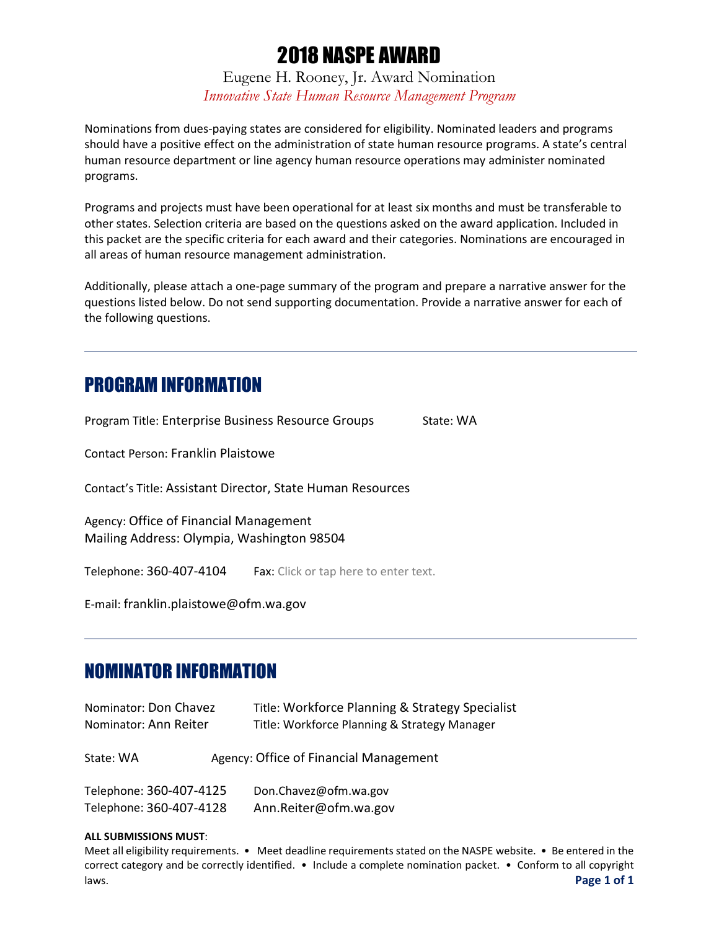# 2018 NASPE AWARD

Eugene H. Rooney, Jr. Award Nomination *Innovative State Human Resource Management Program*

Nominations from dues-paying states are considered for eligibility. Nominated leaders and programs should have a positive effect on the administration of state human resource programs. A state's central human resource department or line agency human resource operations may administer nominated programs.

Programs and projects must have been operational for at least six months and must be transferable to other states. Selection criteria are based on the questions asked on the award application. Included in this packet are the specific criteria for each award and their categories. Nominations are encouraged in all areas of human resource management administration.

Additionally, please attach a one-page summary of the program and prepare a narrative answer for the questions listed below. Do not send supporting documentation. Provide a narrative answer for each of the following questions.

## PROGRAM INFORMATION

Program Title: Enterprise Business Resource Groups State: WA

Contact Person: Franklin Plaistowe

Contact's Title: Assistant Director, State Human Resources

Agency: Office of Financial Management Mailing Address: Olympia, Washington 98504

Telephone: 360-407-4104 Fax: Click or tap here to enter text.

E-mail: franklin.plaistowe@ofm.wa.gov

## NOMINATOR INFORMATION

| Nominator: Don Chavez<br>Nominator: Ann Reiter     | Title: Workforce Planning & Strategy Specialist<br>Title: Workforce Planning & Strategy Manager |  |
|----------------------------------------------------|-------------------------------------------------------------------------------------------------|--|
| State: WA                                          | Agency: Office of Financial Management                                                          |  |
| Telephone: 360-407-4125<br>Telephone: 360-407-4128 | Don.Chavez@ofm.wa.gov<br>Ann.Reiter@ofm.wa.gov                                                  |  |

#### **ALL SUBMISSIONS MUST**:

Meet all eligibility requirements. • Meet deadline requirements stated on the NASPE website. • Be entered in the correct category and be correctly identified. • Include a complete nomination packet. • Conform to all copyright laws. **Page 1 of 1**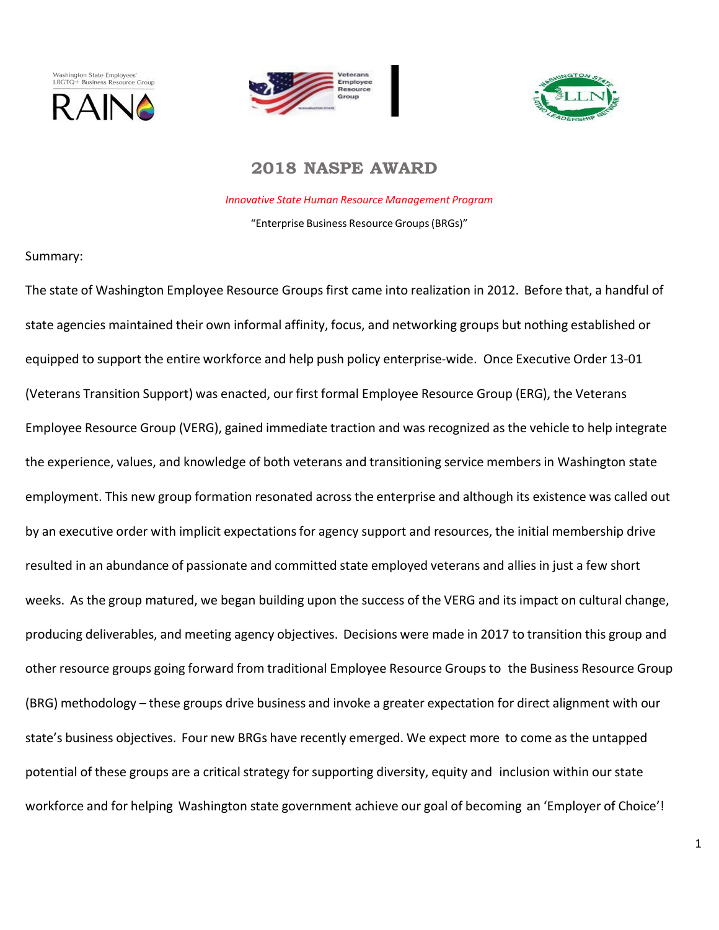





### **2018 NASPE AWARD**

*Innovative State Human Resource Management Program* "Enterprise Business Resource Groups(BRGs)"

#### Summary:

The state of Washington Employee Resource Groups first came into realization in 2012. Before that, a handful of state agencies maintained their own informal affinity, focus, and networking groups but nothing established or equipped to support the entire workforce and help push policy enterprise-wide. Once Executive Order 13-01 (Veterans Transition Support) was enacted, our first formal Employee Resource Group (ERG), the Veterans Employee Resource Group (VERG), gained immediate traction and was recognized as the vehicle to help integrate the experience, values, and knowledge of both veterans and transitioning service membersin Washington state employment. This new group formation resonated across the enterprise and although its existence was called out by an executive order with implicit expectations for agency support and resources, the initial membership drive resulted in an abundance of passionate and committed state employed veterans and allies in just a few short weeks. As the group matured, we began building upon the success of the VERG and its impact on cultural change, producing deliverables, and meeting agency objectives. Decisions were made in 2017 to transition this group and other resource groups going forward from traditional Employee Resource Groupsto the Business Resource Group (BRG) methodology – these groups drive business and invoke a greater expectation for direct alignment with our state's business objectives. Four new BRGs have recently emerged. We expect more to come as the untapped potential of these groups are a critical strategy for supporting diversity, equity and inclusion within our state workforce and for helping Washington state government achieve our goal of becoming an 'Employer of Choice'!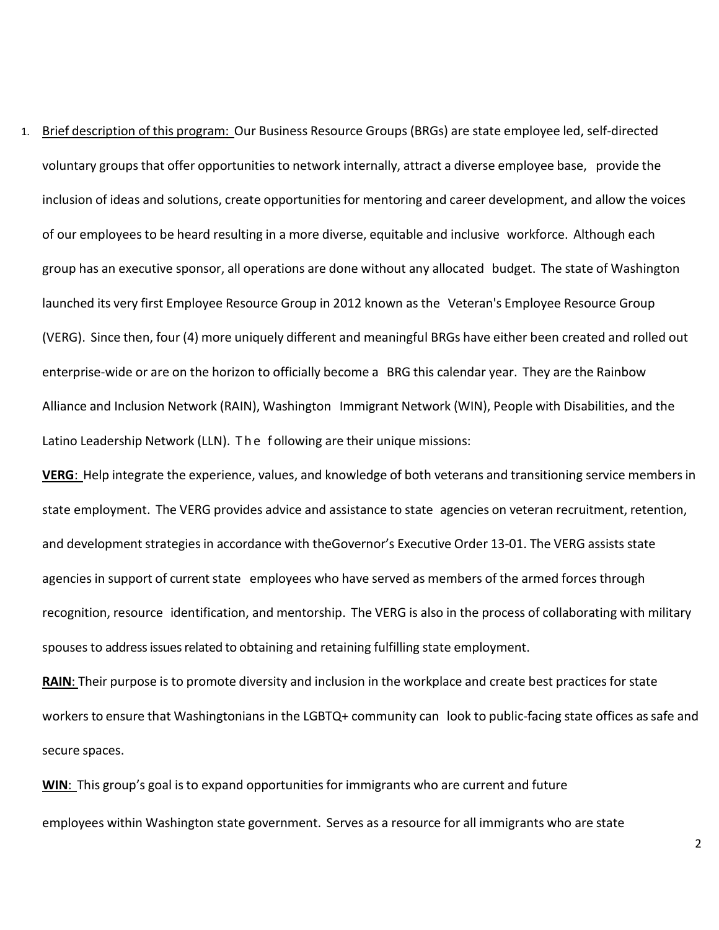1. Brief description of this program: Our Business Resource Groups (BRGs) are state employee led, self‐directed voluntary groupsthat offer opportunitiesto network internally, attract a diverse employee base, provide the inclusion of ideas and solutions, create opportunities for mentoring and career development, and allow the voices of our employees to be heard resulting in a more diverse, equitable and inclusive workforce. Although each group has an executive sponsor, all operations are done without any allocated budget. The state of Washington launched its very first Employee Resource Group in 2012 known as the Veteran's Employee Resource Group (VERG). Since then, four (4) more uniquely different and meaningful BRGs have either been created and rolled out enterprise‐wide or are on the horizon to officially become a BRG this calendar year. They are the Rainbow Alliance and Inclusion Network (RAIN), Washington Immigrant Network (WIN), People with Disabilities, and the Latino Leadership Network (LLN). The f ollowing are their unique missions:

**VERG**: Help integrate the experience, values, and knowledge of both veterans and transitioning service members in state employment. The VERG provides advice and assistance to state agencies on veteran recruitment, retention, and development strategies in accordance with theGovernor's Executive Order 13-01. The VERG assists state agencies in support of current state employees who have served as members of the armed forces through recognition, resource identification, and mentorship. The VERG is also in the process of collaborating with military spouses to address issues related to obtaining and retaining fulfilling state employment.

**RAIN:** Their purpose is to promote diversity and inclusion in the workplace and create best practices for state workers to ensure that Washingtonians in the LGBTQ+ community can look to public-facing state offices as safe and secure spaces.

WIN: This group's goal is to expand opportunities for immigrants who are current and future employees within Washington state government. Serves as a resource for all immigrants who are state

2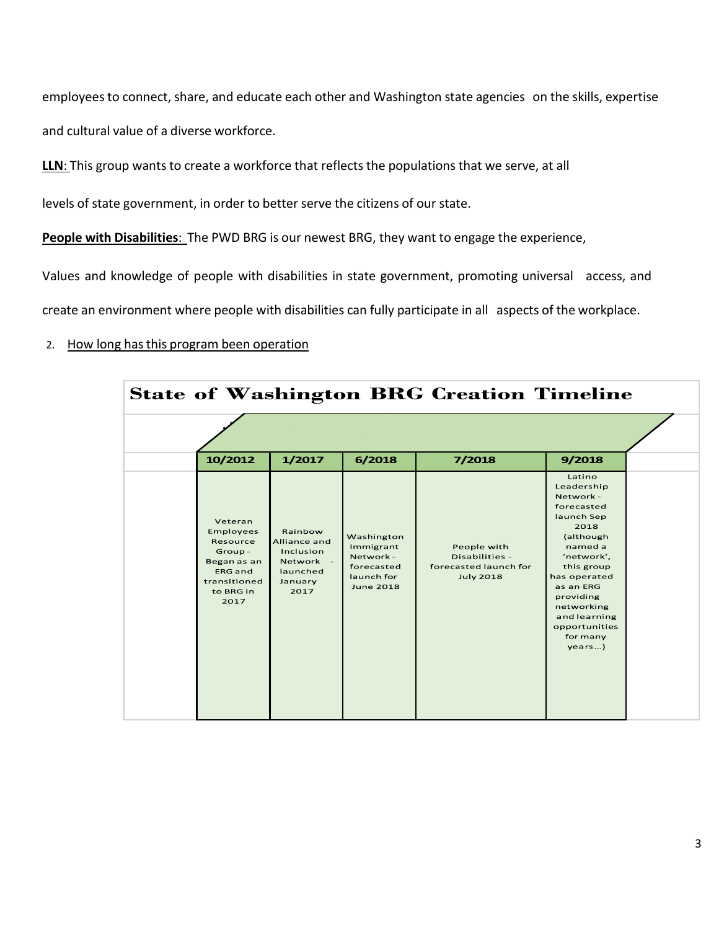employees to connect, share, and educate each other and Washington state agencies on the skills, expertise and cultural value of a diverse workforce.

**LLN**: This group wants to create a workforce that reflects the populations that we serve, at all

levels of state government, in order to better serve the citizens of our state.

**People with Disabilities**: The PWD BRG is our newest BRG, they want to engage the experience,

Values and knowledge of people with disabilities in state government, promoting universal access, and

create an environment where people with disabilities can fully participate in all aspects of the workplace.

#### 2. How long hasthis program been operation

| <b>State of Washington BRG Creation Timeline</b> |                                                                                                                  |                                                                                  |                                                                                      |                                                                            |                                                                                                                                                                                                                                          |  |  |  |  |
|--------------------------------------------------|------------------------------------------------------------------------------------------------------------------|----------------------------------------------------------------------------------|--------------------------------------------------------------------------------------|----------------------------------------------------------------------------|------------------------------------------------------------------------------------------------------------------------------------------------------------------------------------------------------------------------------------------|--|--|--|--|
|                                                  |                                                                                                                  |                                                                                  |                                                                                      |                                                                            |                                                                                                                                                                                                                                          |  |  |  |  |
|                                                  | 10/2012                                                                                                          | 1/2017                                                                           | 6/2018                                                                               | 7/2018                                                                     | 9/2018                                                                                                                                                                                                                                   |  |  |  |  |
|                                                  | Veteran<br>Employees<br>Resource<br>Group-<br>Began as an<br><b>ERG</b> and<br>transitioned<br>to BRG in<br>2017 | Rainbow<br>Alliance and<br>Inclusion<br>Network -<br>launched<br>January<br>2017 | Washington<br>Immigrant<br>Network -<br>forecasted<br>launch for<br><b>June 2018</b> | People with<br>Disabilities -<br>forecasted launch for<br><b>July 2018</b> | Latino<br>Leadership<br>Network -<br>forecasted<br>launch Sep<br>2018<br>(although<br>named a<br>'network',<br>this group<br>has operated<br>as an ERG<br>providing<br>networking<br>and learning<br>opportunities<br>for many<br>years) |  |  |  |  |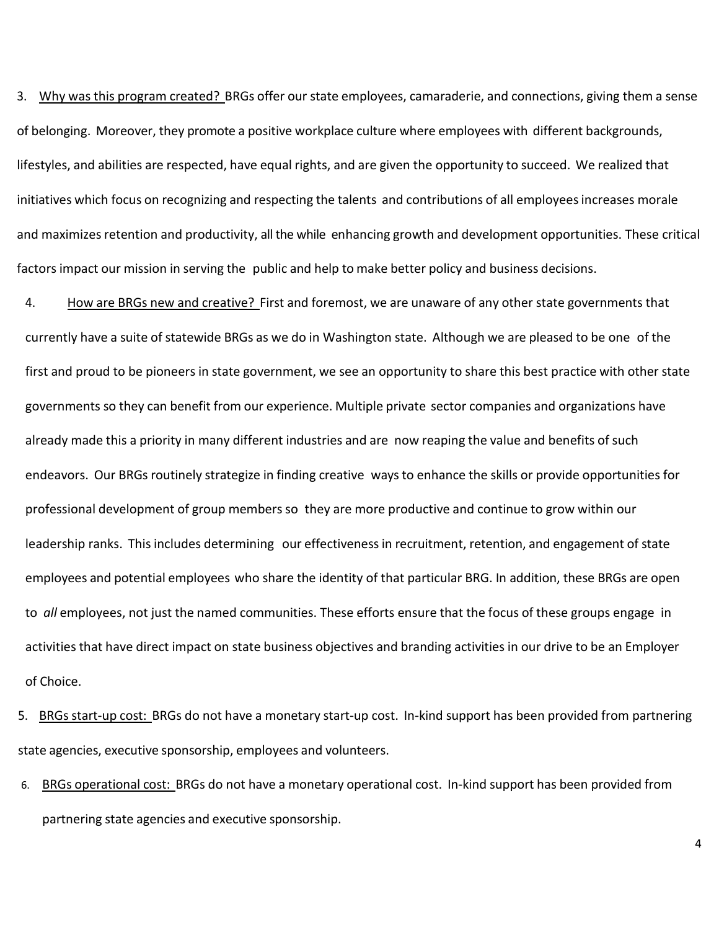3. Why was this program created? BRGs offer our state employees, camaraderie, and connections, giving them a sense of belonging. Moreover, they promote a positive workplace culture where employees with different backgrounds, lifestyles, and abilities are respected, have equal rights, and are given the opportunity to succeed. We realized that initiatives which focus on recognizing and respecting the talents and contributions of all employees increases morale and maximizes retention and productivity, all the while enhancing growth and development opportunities. These critical factors impact our mission in serving the public and help to make better policy and business decisions.

4. How are BRGs new and creative? First and foremost, we are unaware of any other state governments that currently have a suite of statewide BRGs as we do in Washington state. Although we are pleased to be one of the first and proud to be pioneers in state government, we see an opportunity to share this best practice with other state governments so they can benefit from our experience. Multiple private sector companies and organizations have already made this a priority in many different industries and are now reaping the value and benefits of such endeavors. Our BRGs routinely strategize in finding creative waysto enhance the skills or provide opportunities for professional development of group members so they are more productive and continue to grow within our leadership ranks. This includes determining our effectivenessin recruitment, retention, and engagement of state employees and potential employees who share the identity of that particular BRG. In addition, these BRGs are open to *all* employees, not just the named communities. These efforts ensure that the focus of these groups engage in activities that have direct impact on state business objectives and branding activities in our drive to be an Employer of Choice.

5. BRGs start-up cost: BRGs do not have a monetary start-up cost. In-kind support has been provided from partnering state agencies, executive sponsorship, employees and volunteers.

6. BRGs operational cost: BRGs do not have a monetary operational cost. In-kind support has been provided from partnering state agencies and executive sponsorship.

4